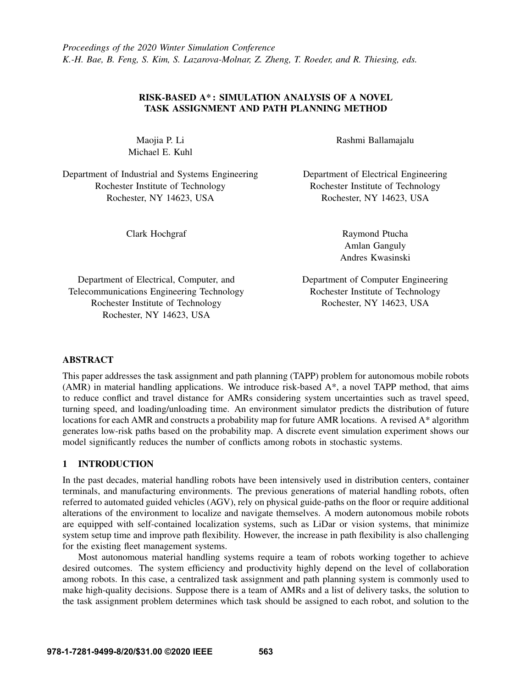# RISK-BASED A\* : SIMULATION ANALYSIS OF A NOVEL TASK ASSIGNMENT AND PATH PLANNING METHOD

Maojia P. Li Michael E. Kuhl

Department of Industrial and Systems Engineering Rochester Institute of Technology Rochester, NY 14623, USA

Rashmi Ballamajalu

Department of Electrical Engineering Rochester Institute of Technology Rochester, NY 14623, USA

Clark Hochgraf

Raymond Ptucha Amlan Ganguly Andres Kwasinski

Department of Electrical, Computer, and Telecommunications Engineering Technology Rochester Institute of Technology Rochester, NY 14623, USA

Department of Computer Engineering Rochester Institute of Technology Rochester, NY 14623, USA

# ABSTRACT

This paper addresses the task assignment and path planning (TAPP) problem for autonomous mobile robots (AMR) in material handling applications. We introduce risk-based A\*, a novel TAPP method, that aims to reduce conflict and travel distance for AMRs considering system uncertainties such as travel speed, turning speed, and loading/unloading time. An environment simulator predicts the distribution of future locations for each AMR and constructs a probability map for future AMR locations. A revised A\* algorithm generates low-risk paths based on the probability map. A discrete event simulation experiment shows our model significantly reduces the number of conflicts among robots in stochastic systems.

# 1 INTRODUCTION

In the past decades, material handling robots have been intensively used in distribution centers, container terminals, and manufacturing environments. The previous generations of material handling robots, often referred to automated guided vehicles (AGV), rely on physical guide-paths on the floor or require additional alterations of the environment to localize and navigate themselves. A modern autonomous mobile robots are equipped with self-contained localization systems, such as LiDar or vision systems, that minimize system setup time and improve path flexibility. However, the increase in path flexibility is also challenging for the existing fleet management systems.

Most autonomous material handling systems require a team of robots working together to achieve desired outcomes. The system efficiency and productivity highly depend on the level of collaboration among robots. In this case, a centralized task assignment and path planning system is commonly used to make high-quality decisions. Suppose there is a team of AMRs and a list of delivery tasks, the solution to the task assignment problem determines which task should be assigned to each robot, and solution to the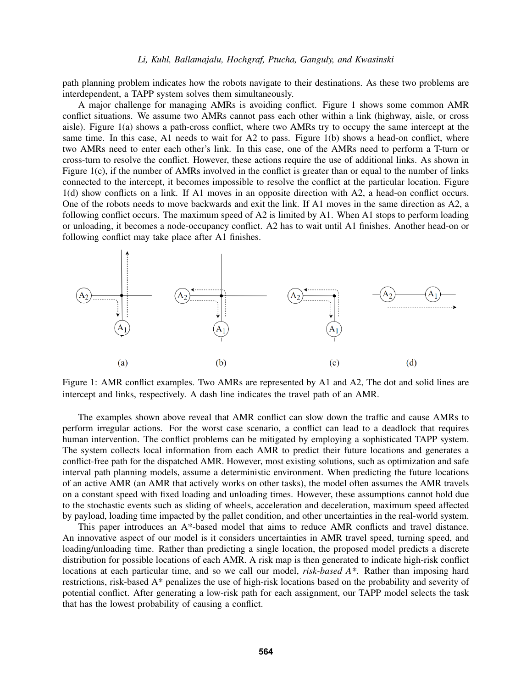path planning problem indicates how the robots navigate to their destinations. As these two problems are interdependent, a TAPP system solves them simultaneously.

A major challenge for managing AMRs is avoiding conflict. Figure [1](#page-1-0) shows some common AMR conflict situations. We assume two AMRs cannot pass each other within a link (highway, aisle, or cross aisle). Figure [1\(](#page-1-0)a) shows a path-cross conflict, where two AMRs try to occupy the same intercept at the same time. In this case, A1 needs to wait for A2 to pass. Figure [1\(](#page-1-0)b) shows a head-on conflict, where two AMRs need to enter each other's link. In this case, one of the AMRs need to perform a T-turn or cross-turn to resolve the conflict. However, these actions require the use of additional links. As shown in Figure [1\(](#page-1-0)c), if the number of AMRs involved in the conflict is greater than or equal to the number of links connected to the intercept, it becomes impossible to resolve the conflict at the particular location. Figure [1\(](#page-1-0)d) show conflicts on a link. If A1 moves in an opposite direction with A2, a head-on conflict occurs. One of the robots needs to move backwards and exit the link. If A1 moves in the same direction as A2, a following conflict occurs. The maximum speed of A2 is limited by A1. When A1 stops to perform loading or unloading, it becomes a node-occupancy conflict. A2 has to wait until A1 finishes. Another head-on or following conflict may take place after A1 finishes.

<span id="page-1-0"></span>

Figure 1: AMR conflict examples. Two AMRs are represented by A1 and A2, The dot and solid lines are intercept and links, respectively. A dash line indicates the travel path of an AMR.

The examples shown above reveal that AMR conflict can slow down the traffic and cause AMRs to perform irregular actions. For the worst case scenario, a conflict can lead to a deadlock that requires human intervention. The conflict problems can be mitigated by employing a sophisticated TAPP system. The system collects local information from each AMR to predict their future locations and generates a conflict-free path for the dispatched AMR. However, most existing solutions, such as optimization and safe interval path planning models, assume a deterministic environment. When predicting the future locations of an active AMR (an AMR that actively works on other tasks), the model often assumes the AMR travels on a constant speed with fixed loading and unloading times. However, these assumptions cannot hold due to the stochastic events such as sliding of wheels, acceleration and deceleration, maximum speed affected by payload, loading time impacted by the pallet condition, and other uncertainties in the real-world system.

This paper introduces an A\*-based model that aims to reduce AMR conflicts and travel distance. An innovative aspect of our model is it considers uncertainties in AMR travel speed, turning speed, and loading/unloading time. Rather than predicting a single location, the proposed model predicts a discrete distribution for possible locations of each AMR. A risk map is then generated to indicate high-risk conflict locations at each particular time, and so we call our model, *risk-based A\**. Rather than imposing hard restrictions, risk-based A\* penalizes the use of high-risk locations based on the probability and severity of potential conflict. After generating a low-risk path for each assignment, our TAPP model selects the task that has the lowest probability of causing a conflict.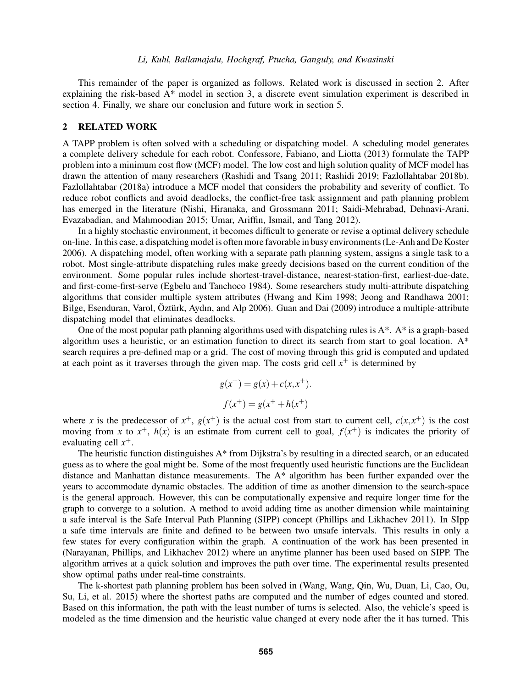This remainder of the paper is organized as follows. Related work is discussed in section 2. After explaining the risk-based A\* model in section 3, a discrete event simulation experiment is described in section 4. Finally, we share our conclusion and future work in section 5.

## 2 RELATED WORK

A TAPP problem is often solved with a scheduling or dispatching model. A scheduling model generates a complete delivery schedule for each robot. [Confessore, Fabiano, and Liotta \(2013\)](#page-7-0) formulate the TAPP problem into a minimum cost flow (MCF) model. The low cost and high solution quality of MCF model has drawn the attention of many researchers [\(Rashidi and Tsang 2011;](#page-7-1) [Rashidi 2019;](#page-7-2) [Fazlollahtabar 2018b\)](#page-7-3). [Fazlollahtabar \(2018a\)](#page-7-4) introduce a MCF model that considers the probability and severity of conflict. To reduce robot conflicts and avoid deadlocks, the conflict-free task assignment and path planning problem has emerged in the literature [\(Nishi, Hiranaka, and Grossmann 2011;](#page-7-5) [Saidi-Mehrabad, Dehnavi-Arani,](#page-7-6) [Evazabadian, and Mahmoodian 2015;](#page-7-6) [Umar, Ariffin, Ismail, and Tang 2012\)](#page-7-7).

In a highly stochastic environment, it becomes difficult to generate or revise a optimal delivery schedule on-line. In this case, a dispatching model is often more favorable in busy environments [\(Le-Anh and De Koster](#page-7-8) [2006\)](#page-7-8). A dispatching model, often working with a separate path planning system, assigns a single task to a robot. Most single-attribute dispatching rules make greedy decisions based on the current condition of the environment. Some popular rules include shortest-travel-distance, nearest-station-first, earliest-due-date, and first-come-first-serve [\(Egbelu and Tanchoco 1984\)](#page-7-9). Some researchers study multi-attribute dispatching algorithms that consider multiple system attributes [\(Hwang and Kim 1998;](#page-7-10) [Jeong and Randhawa 2001;](#page-7-11) Bilge, Esenduran, Varol, Öztürk, Aydın, and Alp 2006). [Guan and Dai \(2009\)](#page-7-13) introduce a multiple-attribute dispatching model that eliminates deadlocks.

One of the most popular path planning algorithms used with dispatching rules is A\*. A\* is a graph-based algorithm uses a heuristic, or an estimation function to direct its search from start to goal location.  $A^*$ search requires a pre-defined map or a grid. The cost of moving through this grid is computed and updated at each point as it traverses through the given map. The costs grid cell  $x^+$  is determined by

$$
g(x^{+}) = g(x) + c(x, x^{+}).
$$
  

$$
f(x^{+}) = g(x^{+} + h(x^{+}))
$$

where *x* is the predecessor of  $x^+$ ,  $g(x^+)$  is the actual cost from start to current cell,  $c(x,x^+)$  is the cost moving from x to  $x^+$ ,  $h(x)$  is an estimate from current cell to goal,  $f(x^+)$  is indicates the priority of evaluating cell *x* +.

The heuristic function distinguishes A\* from Dijkstra's by resulting in a directed search, or an educated guess as to where the goal might be. Some of the most frequently used heuristic functions are the Euclidean distance and Manhattan distance measurements. The A\* algorithm has been further expanded over the years to accommodate dynamic obstacles. The addition of time as another dimension to the search-space is the general approach. However, this can be computationally expensive and require longer time for the graph to converge to a solution. A method to avoid adding time as another dimension while maintaining a safe interval is the Safe Interval Path Planning (SIPP) concept [\(Phillips and Likhachev 2011\)](#page-7-14). In SIpp a safe time intervals are finite and defined to be between two unsafe intervals. This results in only a few states for every configuration within the graph. A continuation of the work has been presented in [\(Narayanan, Phillips, and Likhachev 2012\)](#page-7-15) where an anytime planner has been used based on SIPP. The algorithm arrives at a quick solution and improves the path over time. The experimental results presented show optimal paths under real-time constraints.

The k-shortest path planning problem has been solved in [\(Wang, Wang, Qin, Wu, Duan, Li, Cao, Ou,](#page-8-0) [Su, Li, et al. 2015\)](#page-8-0) where the shortest paths are computed and the number of edges counted and stored. Based on this information, the path with the least number of turns is selected. Also, the vehicle's speed is modeled as the time dimension and the heuristic value changed at every node after the it has turned. This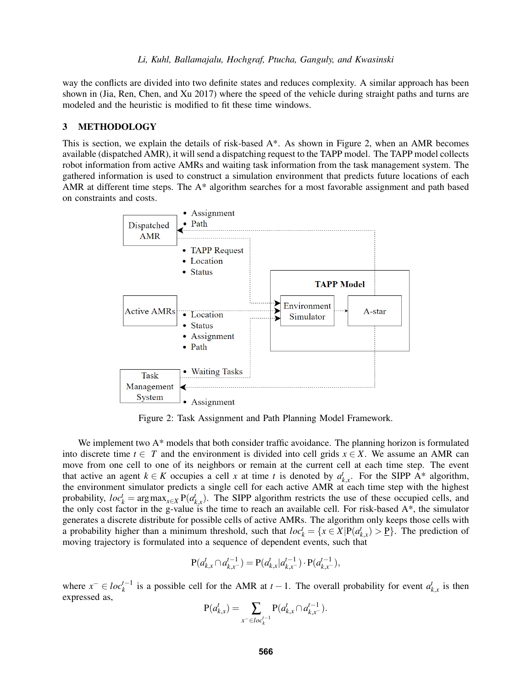way the conflicts are divided into two definite states and reduces complexity. A similar approach has been shown in [\(Jia, Ren, Chen, and Xu 2017\)](#page-7-16) where the speed of the vehicle during straight paths and turns are modeled and the heuristic is modified to fit these time windows.

## 3 METHODOLOGY

This is section, we explain the details of risk-based A\*. As shown in Figure [2,](#page-3-0) when an AMR becomes available (dispatched AMR), it will send a dispatching request to the TAPP model. The TAPP model collects robot information from active AMRs and waiting task information from the task management system. The gathered information is used to construct a simulation environment that predicts future locations of each AMR at different time steps. The A\* algorithm searches for a most favorable assignment and path based on constraints and costs.

<span id="page-3-0"></span>

Figure 2: Task Assignment and Path Planning Model Framework.

We implement two A\* models that both consider traffic avoidance. The planning horizon is formulated into discrete time  $t \in T$  and the environment is divided into cell grids  $x \in X$ . We assume an AMR can move from one cell to one of its neighbors or remain at the current cell at each time step. The event that active an agent  $k \in K$  occupies a cell *x* at time *t* is denoted by  $a_{k,x}^t$ . For the SIPP A\* algorithm, the environment simulator predicts a single cell for each active AMR at each time step with the highest probability,  $loc_k^t = \arg \max_{x \in X} P(a_{k,x}^t)$ . The SIPP algorithm restricts the use of these occupied cells, and the only cost factor in the g-value is the time to reach an available cell. For risk-based A\*, the simulator generates a discrete distribute for possible cells of active AMRs. The algorithm only keeps those cells with a probability higher than a minimum threshold, such that  $loc_k^t = \{x \in X | P(a_{k,x}^t) > \underline{P}\}$ . The prediction of moving trajectory is formulated into a sequence of dependent events, such that

$$
\mathbf{P}(a_{k,x}^t \cap a_{k,x^-}^{t-1}) = \mathbf{P}(a_{k,x}^t | a_{k,x^-}^{t-1}) \cdot \mathbf{P}(a_{k,x^-}^{t-1}),
$$

where  $x^- \in loc_k^{t-1}$  is a possible cell for the AMR at  $t-1$ . The overall probability for event  $a_{k,x}^t$  is then expressed as,

$$
P(a_{k,x}^t) = \sum_{x^- \in loc_k^{t-1}} P(a_{k,x}^t \cap a_{k,x^-}^{t-1}).
$$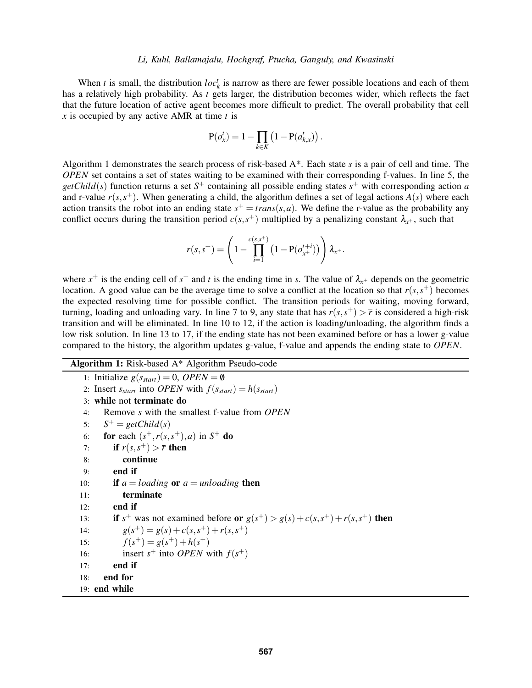When *t* is small, the distribution  $loc<sub>k</sub><sup>t</sup>$  is narrow as there are fewer possible locations and each of them has a relatively high probability. As *t* gets larger, the distribution becomes wider, which reflects the fact that the future location of active agent becomes more difficult to predict. The overall probability that cell *x* is occupied by any active AMR at time *t* is

$$
\mathbf{P}(o_x^t) = 1 - \prod_{k \in K} \left(1 - \mathbf{P}(a_{k,x}^t)\right).
$$

Algorithm [1](#page-4-0) demonstrates the search process of risk-based A\*. Each state *s* is a pair of cell and time. The *OPEN* set contains a set of states waiting to be examined with their corresponding f-values. In line 5, the *getChild*(*s*) function returns a set  $S^+$  containing all possible ending states  $s^+$  with corresponding action *a* and r-value  $r(s, s^+)$ . When generating a child, the algorithm defines a set of legal actions  $A(s)$  where each action transits the robot into an ending state  $s^+ = trans(s, a)$ . We define the r-value as the probability any conflict occurs during the transition period  $c(s, s^+)$  multiplied by a penalizing constant  $\lambda_{x^+}$ , such that

$$
r(s,s^+) = \left(1 - \prod_{i=1}^{c(s,s^+)} \left(1 - \mathbf{P}(o_{x^+}^{t+i})\right)\right) \lambda_{x^+}.
$$

where  $x^+$  is the ending cell of  $s^+$  and t is the ending time in s. The value of  $\lambda_{x^+}$  depends on the geometric location. A good value can be the average time to solve a conflict at the location so that  $r(s, s<sup>+</sup>)$  becomes the expected resolving time for possible conflict. The transition periods for waiting, moving forward, turning, loading and unloading vary. In line 7 to 9, any state that has  $r(s, s^+) > \bar{r}$  is considered a high-risk transition and will be eliminated. In line 10 to 12, if the action is loading/unloading, the algorithm finds a low risk solution. In line 13 to 17, if the ending state has not been examined before or has a lower g-value compared to the history, the algorithm updates g-value, f-value and appends the ending state to *OPEN*.

# Algorithm 1: Risk-based A\* Algorithm Pseudo-code

<span id="page-4-0"></span>1: Initialize  $g(s_{start}) = 0$ , *OPEN* = 0 2: Insert  $s_{start}$  into *OPEN* with  $f(s_{start}) = h(s_{start})$ 3: while not terminate do 4: Remove *s* with the smallest f-value from *OPEN* 5: *S*  $S^+ = getChild(s)$ 6: **for** each  $(s^+, r(s, s^+), a)$  in  $S^+$  do 7: **if**  $r(s, s^+) > \overline{r}$  then 8: continue 9: end if 10: **if**  $a = loading$  or  $a = unloading$  then 11: terminate 12: end if 13: if  $s^+$  was not examined before or  $g(s^+) > g(s) + c(s, s^+) + r(s, s^+)$  then 14:  $g(s^+) = g(s) + c(s, s^+) + r(s, s^+)$ 15:  $f(s^+) = g(s^+) + h(s^+)$ 16: insert  $s^+$  into *OPEN* with  $f(s^+)$ 17: end if 18: end for 19: end while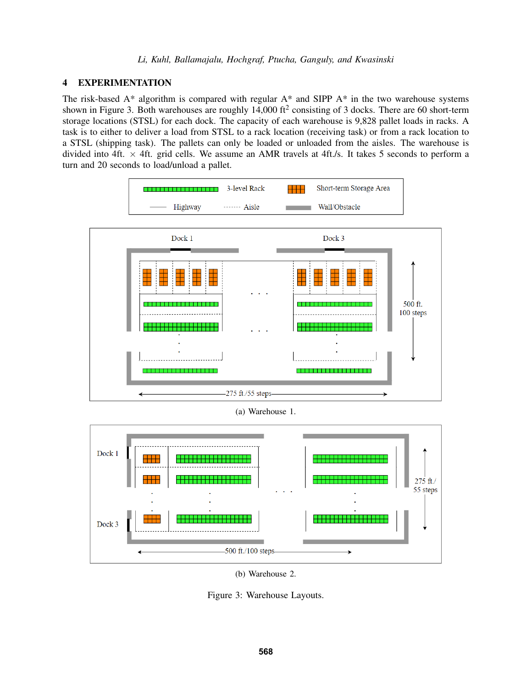# 4 EXPERIMENTATION

The risk-based A\* algorithm is compared with regular A\* and SIPP A\* in the two warehouse systems shown in Figure [3.](#page-5-0) Both warehouses are roughly  $14,000$  ft<sup>2</sup> consisting of 3 docks. There are 60 short-term storage locations (STSL) for each dock. The capacity of each warehouse is 9,828 pallet loads in racks. A task is to either to deliver a load from STSL to a rack location (receiving task) or from a rack location to a STSL (shipping task). The pallets can only be loaded or unloaded from the aisles. The warehouse is divided into 4ft.  $\times$  4ft. grid cells. We assume an AMR travels at 4ft./s. It takes 5 seconds to perform a turn and 20 seconds to load/unload a pallet.

<span id="page-5-0"></span>

(a) Warehouse 1.



(b) Warehouse 2.

Figure 3: Warehouse Layouts.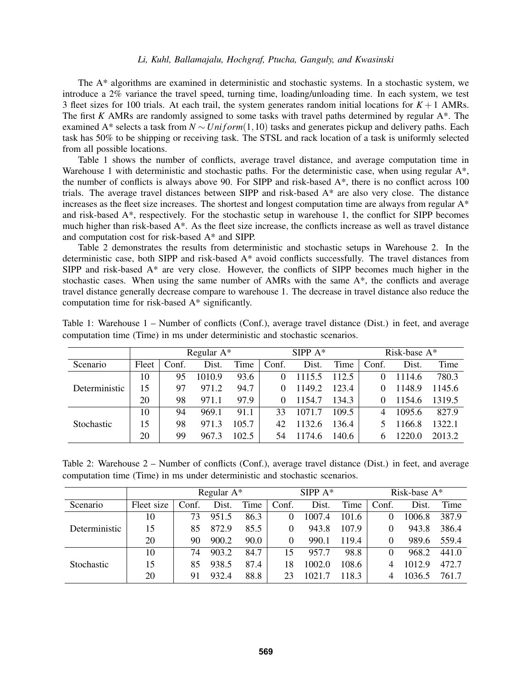The A\* algorithms are examined in deterministic and stochastic systems. In a stochastic system, we introduce a 2% variance the travel speed, turning time, loading/unloading time. In each system, we test 3 fleet sizes for 100 trials. At each trail, the system generates random initial locations for  $K + 1$  AMRs. The first *K* AMRs are randomly assigned to some tasks with travel paths determined by regular A\*. The examined A<sup>\*</sup> selects a task from *N* ∼ *Uniform*(1,10) tasks and generates pickup and delivery paths. Each task has 50% to be shipping or receiving task. The STSL and rack location of a task is uniformly selected from all possible locations.

Table [1](#page-6-0) shows the number of conflicts, average travel distance, and average computation time in Warehouse 1 with deterministic and stochastic paths. For the deterministic case, when using regular A\*, the number of conflicts is always above 90. For SIPP and risk-based A\*, there is no conflict across 100 trials. The average travel distances between SIPP and risk-based A\* are also very close. The distance increases as the fleet size increases. The shortest and longest computation time are always from regular  $A^*$ and risk-based A\*, respectively. For the stochastic setup in warehouse 1, the conflict for SIPP becomes much higher than risk-based A\*. As the fleet size increase, the conflicts increase as well as travel distance and computation cost for risk-based A\* and SIPP.

Table [2](#page-6-1) demonstrates the results from deterministic and stochastic setups in Warehouse 2. In the deterministic case, both SIPP and risk-based A\* avoid conflicts successfully. The travel distances from SIPP and risk-based A\* are very close. However, the conflicts of SIPP becomes much higher in the stochastic cases. When using the same number of AMRs with the same  $A^*$ , the conflicts and average travel distance generally decrease compare to warehouse 1. The decrease in travel distance also reduce the computation time for risk-based A\* significantly.

|               | Regular $A^*$ |       |        |       |       | SIPP $A^*$ |       | Risk-base A* |        |        |  |
|---------------|---------------|-------|--------|-------|-------|------------|-------|--------------|--------|--------|--|
| Scenario      | Fleet         | Conf. | Dist.  | Time  | Conf. | Dist.      | Time  | Conf.        | Dist.  | Time   |  |
| Deterministic | 10            | 95    | 1010.9 | 93.6  |       | 1115.5     | 112.5 |              | 1114.6 | 780.3  |  |
|               | 15            | 97    | 971.2  | 94.7  |       | 1149.2     | 123.4 |              | 1148.9 | 1145.6 |  |
|               | 20            | 98    | 971.1  | 97.9  |       | 1154.7     | 134.3 |              | 1154.6 | 1319.5 |  |
| Stochastic    | 10            | 94    | 969.1  | 91.1  | 33    | 10717      | 109.5 | 4            | 1095.6 | 827.9  |  |
|               | 15            | 98    | 971.3  | 105.7 | 42    | 1132.6     | 136.4 |              | 1166.8 | 1322.1 |  |
|               | 20            | 99    | 967.3  | 102.5 | 54    | 1174.6     | 140.6 | h            | 1220.0 | 2013.2 |  |

<span id="page-6-0"></span>Table 1: Warehouse 1 – Number of conflicts (Conf.), average travel distance (Dist.) in feet, and average computation time (Time) in ms under deterministic and stochastic scenarios.

<span id="page-6-1"></span>Table 2: Warehouse 2 – Number of conflicts (Conf.), average travel distance (Dist.) in feet, and average computation time (Time) in ms under deterministic and stochastic scenarios.

|                   | Regular $A^*$ |       |       |      |          | SIPP $A^*$ |       | Risk-base A* |        |       |
|-------------------|---------------|-------|-------|------|----------|------------|-------|--------------|--------|-------|
| Scenario          | Fleet size    | Conf. | Dist. | Time | Conf.    | Dist.      | Time  | Conf.        | Dist.  | Time  |
| Deterministic     | 10            | 73    | 951.5 | 86.3 | $\theta$ | 1007.4     | 101.6 |              | 1006.8 | 387.9 |
|                   | 15            | 85    | 872.9 | 85.5 | $\Omega$ | 943.8      | 107.9 |              | 943.8  | 386.4 |
|                   | 20            | 90    | 900.2 | 90.0 | $\theta$ | 990.1      | 119.4 |              | 989.6  | 559.4 |
| <b>Stochastic</b> | 10            | 74    | 903.2 | 84.7 | 15       | 957.7      | 98.8  |              | 968.2  | 441.0 |
|                   | 15            | 85    | 938.5 | 87.4 | 18       | 1002.0     | 108.6 | 4            | 1012.9 | 472.7 |
|                   | 20            | 91    | 932.4 | 88.8 | 23       | 1021.7     | 118.3 | 4            | 1036.5 | 761.7 |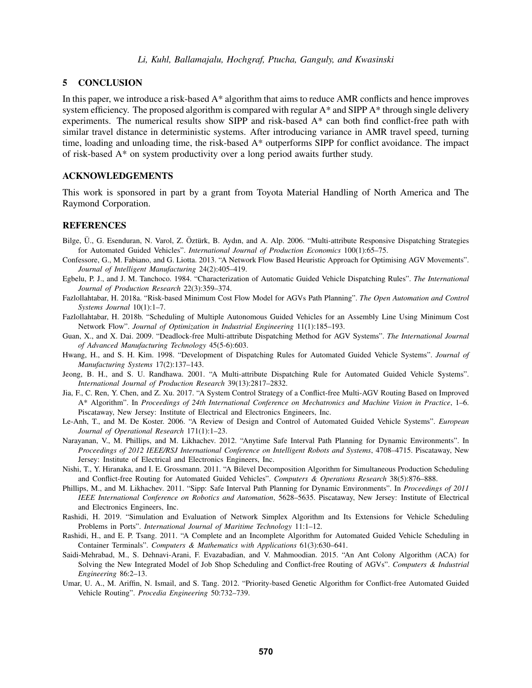### 5 CONCLUSION

In this paper, we introduce a risk-based A\* algorithm that aims to reduce AMR conflicts and hence improves system efficiency. The proposed algorithm is compared with regular A\* and SIPP A\* through single delivery experiments. The numerical results show SIPP and risk-based A\* can both find conflict-free path with similar travel distance in deterministic systems. After introducing variance in AMR travel speed, turning time, loading and unloading time, the risk-based A\* outperforms SIPP for conflict avoidance. The impact of risk-based A\* on system productivity over a long period awaits further study.

# ACKNOWLEDGEMENTS

This work is sponsored in part by a grant from Toyota Material Handling of North America and The Raymond Corporation.

### REFERENCES

- <span id="page-7-12"></span>Bilge, Ü., G. Esenduran, N. Varol, Z. Öztürk, B. Aydın, and A. Alp. 2006. "Multi-attribute Responsive Dispatching Strategies for Automated Guided Vehicles". *International Journal of Production Economics* 100(1):65–75.
- <span id="page-7-0"></span>Confessore, G., M. Fabiano, and G. Liotta. 2013. "A Network Flow Based Heuristic Approach for Optimising AGV Movements". *Journal of Intelligent Manufacturing* 24(2):405–419.
- <span id="page-7-9"></span>Egbelu, P. J., and J. M. Tanchoco. 1984. "Characterization of Automatic Guided Vehicle Dispatching Rules". *The International Journal of Production Research* 22(3):359–374.
- <span id="page-7-4"></span>Fazlollahtabar, H. 2018a. "Risk-based Minimum Cost Flow Model for AGVs Path Planning". *The Open Automation and Control Systems Journal* 10(1):1–7.
- <span id="page-7-3"></span>Fazlollahtabar, H. 2018b. "Scheduling of Multiple Autonomous Guided Vehicles for an Assembly Line Using Minimum Cost Network Flow". *Journal of Optimization in Industrial Engineering* 11(1):185–193.
- <span id="page-7-13"></span>Guan, X., and X. Dai. 2009. "Deadlock-free Multi-attribute Dispatching Method for AGV Systems". *The International Journal of Advanced Manufacturing Technology* 45(5-6):603.
- <span id="page-7-10"></span>Hwang, H., and S. H. Kim. 1998. "Development of Dispatching Rules for Automated Guided Vehicle Systems". *Journal of Manufacturing Systems* 17(2):137–143.
- <span id="page-7-11"></span>Jeong, B. H., and S. U. Randhawa. 2001. "A Multi-attribute Dispatching Rule for Automated Guided Vehicle Systems". *International Journal of Production Research* 39(13):2817–2832.
- <span id="page-7-16"></span>Jia, F., C. Ren, Y. Chen, and Z. Xu. 2017. "A System Control Strategy of a Conflict-free Multi-AGV Routing Based on Improved A\* Algorithm". In *Proceedings of 24th International Conference on Mechatronics and Machine Vision in Practice*, 1–6. Piscataway, New Jersey: Institute of Electrical and Electronics Engineers, Inc.
- <span id="page-7-8"></span>Le-Anh, T., and M. De Koster. 2006. "A Review of Design and Control of Automated Guided Vehicle Systems". *European Journal of Operational Research* 171(1):1–23.
- <span id="page-7-15"></span>Narayanan, V., M. Phillips, and M. Likhachev. 2012. "Anytime Safe Interval Path Planning for Dynamic Environments". In *Proceedings of 2012 IEEE/RSJ International Conference on Intelligent Robots and Systems*, 4708–4715. Piscataway, New Jersey: Institute of Electrical and Electronics Engineers, Inc.
- <span id="page-7-5"></span>Nishi, T., Y. Hiranaka, and I. E. Grossmann. 2011. "A Bilevel Decomposition Algorithm for Simultaneous Production Scheduling and Conflict-free Routing for Automated Guided Vehicles". *Computers & Operations Research* 38(5):876–888.
- <span id="page-7-14"></span>Phillips, M., and M. Likhachev. 2011. "Sipp: Safe Interval Path Planning for Dynamic Environments". In *Proceedings of 2011 IEEE International Conference on Robotics and Automation*, 5628–5635. Piscataway, New Jersey: Institute of Electrical and Electronics Engineers, Inc.
- <span id="page-7-2"></span>Rashidi, H. 2019. "Simulation and Evaluation of Network Simplex Algorithm and Its Extensions for Vehicle Scheduling Problems in Ports". *International Journal of Maritime Technology* 11:1–12.
- <span id="page-7-1"></span>Rashidi, H., and E. P. Tsang. 2011. "A Complete and an Incomplete Algorithm for Automated Guided Vehicle Scheduling in Container Terminals". *Computers & Mathematics with Applications* 61(3):630–641.
- <span id="page-7-6"></span>Saidi-Mehrabad, M., S. Dehnavi-Arani, F. Evazabadian, and V. Mahmoodian. 2015. "An Ant Colony Algorithm (ACA) for Solving the New Integrated Model of Job Shop Scheduling and Conflict-free Routing of AGVs". *Computers & Industrial Engineering* 86:2–13.
- <span id="page-7-7"></span>Umar, U. A., M. Ariffin, N. Ismail, and S. Tang. 2012. "Priority-based Genetic Algorithm for Conflict-free Automated Guided Vehicle Routing". *Procedia Engineering* 50:732–739.